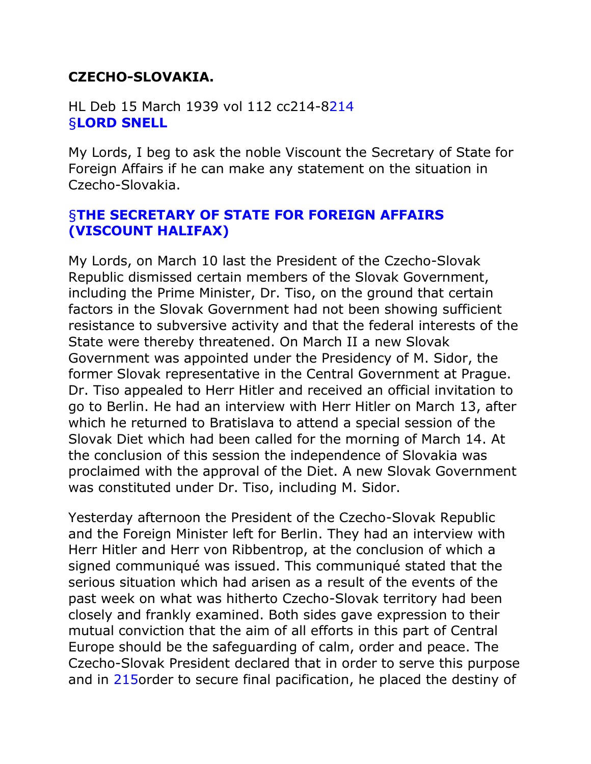## **CZECHO-SLOVAKIA.**

HL Deb 15 March 1939 vol 112 cc214-[8214](http://hansard.millbanksystems.com/lords/1939/mar/15/czecho-slovakia#column_214) [§](http://hansard.millbanksystems.com/lords/1939/mar/15/czecho-slovakia#S5LV0112P0_19390315_HOL_2)**[LORD SNELL](http://hansard.millbanksystems.com/lords/1939/mar/15/czecho-slovakia#S5LV0112P0_19390315_HOL_2)**

My Lords, I beg to ask the noble Viscount the Secretary of State for Foreign Affairs if he can make any statement on the situation in Czecho-Slovakia.

## [§](http://hansard.millbanksystems.com/lords/1939/mar/15/czecho-slovakia#S5LV0112P0_19390315_HOL_3)**[THE SECRETARY OF STATE FOR FOREIGN AFFAIRS](http://hansard.millbanksystems.com/lords/1939/mar/15/czecho-slovakia#S5LV0112P0_19390315_HOL_3)  [\(VISCOUNT HALIFAX\)](http://hansard.millbanksystems.com/people/hon-edward-wood)**

My Lords, on March 10 last the President of the Czecho-Slovak Republic dismissed certain members of the Slovak Government, including the Prime Minister, Dr. Tiso, on the ground that certain factors in the Slovak Government had not been showing sufficient resistance to subversive activity and that the federal interests of the State were thereby threatened. On March II a new Slovak Government was appointed under the Presidency of M. Sidor, the former Slovak representative in the Central Government at Prague. Dr. Tiso appealed to Herr Hitler and received an official invitation to go to Berlin. He had an interview with Herr Hitler on March 13, after which he returned to Bratislava to attend a special session of the Slovak Diet which had been called for the morning of March 14. At the conclusion of this session the independence of Slovakia was proclaimed with the approval of the Diet. A new Slovak Government was constituted under Dr. Tiso, including M. Sidor.

Yesterday afternoon the President of the Czecho-Slovak Republic and the Foreign Minister left for Berlin. They had an interview with Herr Hitler and Herr von Ribbentrop, at the conclusion of which a signed communiqué was issued. This communiqué stated that the serious situation which had arisen as a result of the events of the past week on what was hitherto Czecho-Slovak territory had been closely and frankly examined. Both sides gave expression to their mutual conviction that the aim of all efforts in this part of Central Europe should be the safeguarding of calm, order and peace. The Czecho-Slovak President declared that in order to serve this purpose and in [215o](http://hansard.millbanksystems.com/lords/1939/mar/15/czecho-slovakia#column_215)rder to secure final pacification, he placed the destiny of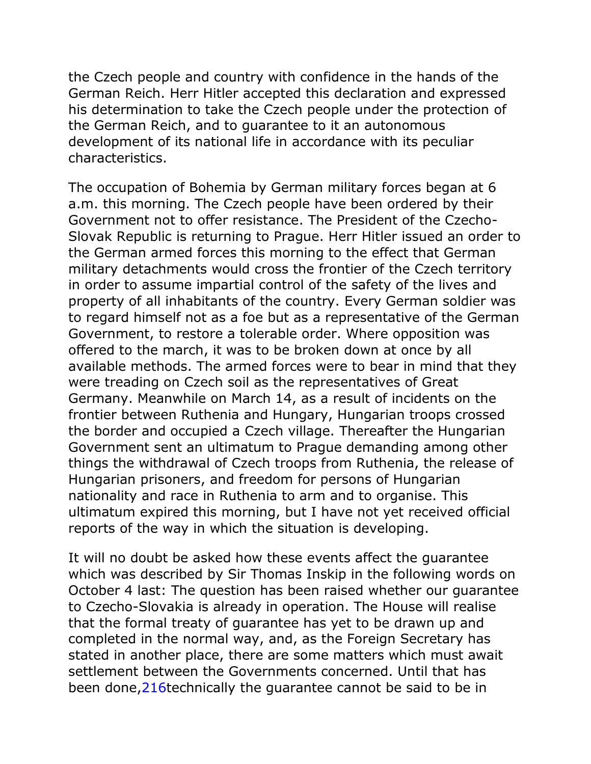the Czech people and country with confidence in the hands of the German Reich. Herr Hitler accepted this declaration and expressed his determination to take the Czech people under the protection of the German Reich, and to guarantee to it an autonomous development of its national life in accordance with its peculiar characteristics.

The occupation of Bohemia by German military forces began at 6 a.m. this morning. The Czech people have been ordered by their Government not to offer resistance. The President of the Czecho-Slovak Republic is returning to Prague. Herr Hitler issued an order to the German armed forces this morning to the effect that German military detachments would cross the frontier of the Czech territory in order to assume impartial control of the safety of the lives and property of all inhabitants of the country. Every German soldier was to regard himself not as a foe but as a representative of the German Government, to restore a tolerable order. Where opposition was offered to the march, it was to be broken down at once by all available methods. The armed forces were to bear in mind that they were treading on Czech soil as the representatives of Great Germany. Meanwhile on March 14, as a result of incidents on the frontier between Ruthenia and Hungary, Hungarian troops crossed the border and occupied a Czech village. Thereafter the Hungarian Government sent an ultimatum to Prague demanding among other things the withdrawal of Czech troops from Ruthenia, the release of Hungarian prisoners, and freedom for persons of Hungarian nationality and race in Ruthenia to arm and to organise. This ultimatum expired this morning, but I have not yet received official reports of the way in which the situation is developing.

It will no doubt be asked how these events affect the guarantee which was described by Sir Thomas Inskip in the following words on October 4 last: The question has been raised whether our guarantee to Czecho-Slovakia is already in operation. The House will realise that the formal treaty of guarantee has yet to be drawn up and completed in the normal way, and, as the Foreign Secretary has stated in another place, there are some matters which must await settlement between the Governments concerned. Until that has been done, 216technically the guarantee cannot be said to be in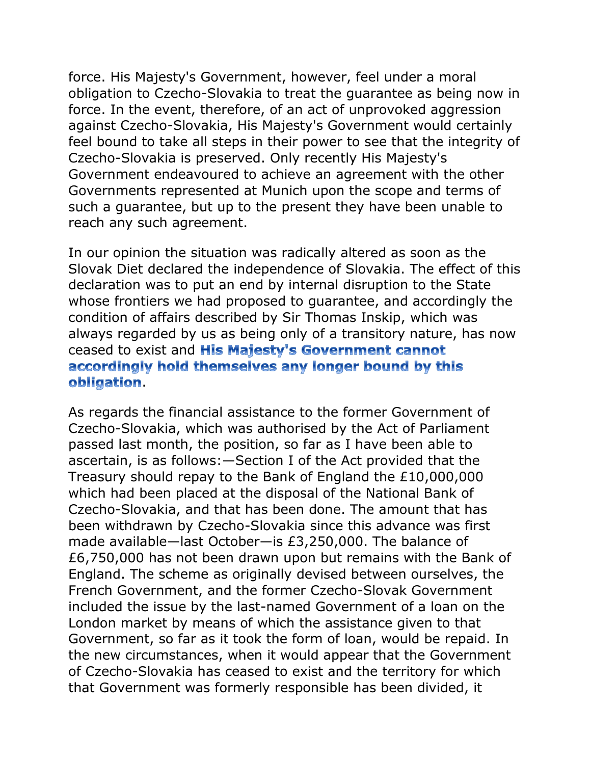force. His Majesty's Government, however, feel under a moral obligation to Czecho-Slovakia to treat the guarantee as being now in force. In the event, therefore, of an act of unprovoked aggression against Czecho-Slovakia, His Majesty's Government would certainly feel bound to take all steps in their power to see that the integrity of Czecho-Slovakia is preserved. Only recently His Majesty's Government endeavoured to achieve an agreement with the other Governments represented at Munich upon the scope and terms of such a guarantee, but up to the present they have been unable to reach any such agreement.

In our opinion the situation was radically altered as soon as the Slovak Diet declared the independence of Slovakia. The effect of this declaration was to put an end by internal disruption to the State whose frontiers we had proposed to guarantee, and accordingly the condition of affairs described by Sir Thomas Inskip, which was always regarded by us as being only of a transitory nature, has now ceased to exist and **His Majesty's Government cannot** accordingly hold themselves any longer bound by this obligation.

As regards the financial assistance to the former Government of Czecho-Slovakia, which was authorised by the Act of Parliament passed last month, the position, so far as I have been able to ascertain, is as follows:—Section I of the Act provided that the Treasury should repay to the Bank of England the £10,000,000 which had been placed at the disposal of the National Bank of Czecho-Slovakia, and that has been done. The amount that has been withdrawn by Czecho-Slovakia since this advance was first made available—last October—is £3,250,000. The balance of £6,750,000 has not been drawn upon but remains with the Bank of England. The scheme as originally devised between ourselves, the French Government, and the former Czecho-Slovak Government included the issue by the last-named Government of a loan on the London market by means of which the assistance given to that Government, so far as it took the form of loan, would be repaid. In the new circumstances, when it would appear that the Government of Czecho-Slovakia has ceased to exist and the territory for which that Government was formerly responsible has been divided, it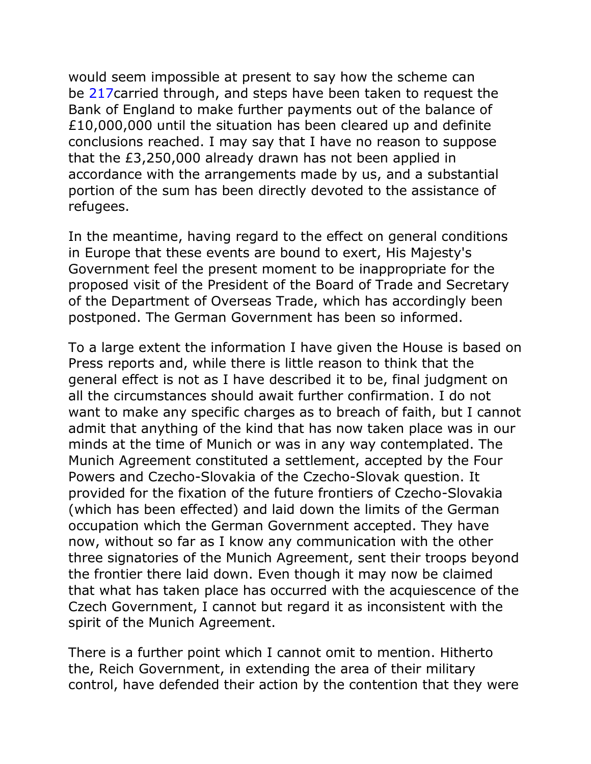would seem impossible at present to say how the scheme can be [217c](http://hansard.millbanksystems.com/lords/1939/mar/15/czecho-slovakia#column_217)arried through, and steps have been taken to request the Bank of England to make further payments out of the balance of £10,000,000 until the situation has been cleared up and definite conclusions reached. I may say that I have no reason to suppose that the £3,250,000 already drawn has not been applied in accordance with the arrangements made by us, and a substantial portion of the sum has been directly devoted to the assistance of refugees.

In the meantime, having regard to the effect on general conditions in Europe that these events are bound to exert, His Majesty's Government feel the present moment to be inappropriate for the proposed visit of the President of the Board of Trade and Secretary of the Department of Overseas Trade, which has accordingly been postponed. The German Government has been so informed.

To a large extent the information I have given the House is based on Press reports and, while there is little reason to think that the general effect is not as I have described it to be, final judgment on all the circumstances should await further confirmation. I do not want to make any specific charges as to breach of faith, but I cannot admit that anything of the kind that has now taken place was in our minds at the time of Munich or was in any way contemplated. The Munich Agreement constituted a settlement, accepted by the Four Powers and Czecho-Slovakia of the Czecho-Slovak question. It provided for the fixation of the future frontiers of Czecho-Slovakia (which has been effected) and laid down the limits of the German occupation which the German Government accepted. They have now, without so far as I know any communication with the other three signatories of the Munich Agreement, sent their troops beyond the frontier there laid down. Even though it may now be claimed that what has taken place has occurred with the acquiescence of the Czech Government, I cannot but regard it as inconsistent with the spirit of the Munich Agreement.

There is a further point which I cannot omit to mention. Hitherto the, Reich Government, in extending the area of their military control, have defended their action by the contention that they were